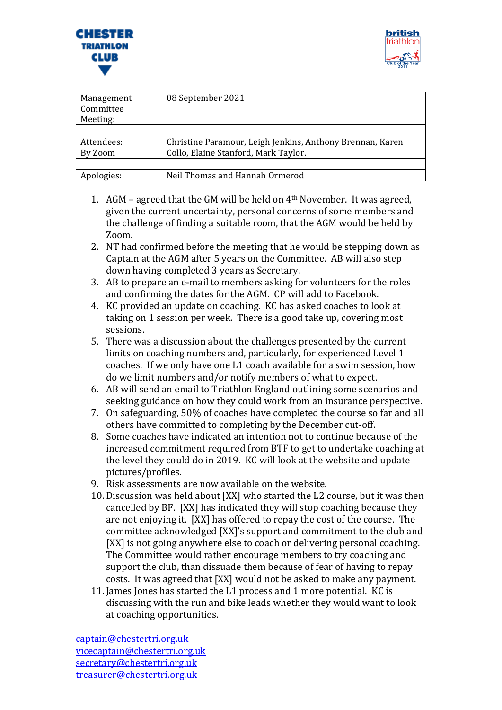



| Management<br>Committee<br>Meeting: | 08 September 2021                                         |
|-------------------------------------|-----------------------------------------------------------|
|                                     |                                                           |
| Attendees:                          | Christine Paramour, Leigh Jenkins, Anthony Brennan, Karen |
| By Zoom                             | Collo, Elaine Stanford, Mark Taylor.                      |
|                                     |                                                           |
| Apologies:                          | Neil Thomas and Hannah Ormerod                            |

- 1. AGM agreed that the GM will be held on 4th November. It was agreed, given the current uncertainty, personal concerns of some members and the challenge of finding a suitable room, that the AGM would be held by Zoom.
- 2. NT had confirmed before the meeting that he would be stepping down as Captain at the AGM after 5 years on the Committee. AB will also step down having completed 3 years as Secretary.
- 3. AB to prepare an e-mail to members asking for volunteers for the roles and confirming the dates for the AGM. CP will add to Facebook.
- 4. KC provided an update on coaching. KC has asked coaches to look at taking on 1 session per week. There is a good take up, covering most sessions.
- 5. There was a discussion about the challenges presented by the current limits on coaching numbers and, particularly, for experienced Level 1 coaches. If we only have one L1 coach available for a swim session, how do we limit numbers and/or notify members of what to expect.
- 6. AB will send an email to Triathlon England outlining some scenarios and seeking guidance on how they could work from an insurance perspective.
- 7. On safeguarding, 50% of coaches have completed the course so far and all others have committed to completing by the December cut-off.
- 8. Some coaches have indicated an intention not to continue because of the increased commitment required from BTF to get to undertake coaching at the level they could do in 2019. KC will look at the website and update pictures/profiles.
- 9. Risk assessments are now available on the website.
- 10. Discussion was held about [XX] who started the L2 course, but it was then cancelled by BF. [XX] has indicated they will stop coaching because they are not enjoying it. [XX] has offered to repay the cost of the course. The committee acknowledged [XX]'s support and commitment to the club and [XX] is not going anywhere else to coach or delivering personal coaching. The Committee would rather encourage members to try coaching and support the club, than dissuade them because of fear of having to repay costs. It was agreed that [XX] would not be asked to make any payment.
- 11. James Jones has started the L1 process and 1 more potential. KC is discussing with the run and bike leads whether they would want to look at coaching opportunities.

[captain@chestertri.org.uk](mailto:captain@chestertri.org.uk) [vicecaptain@chestertri.org.uk](mailto:vicecaptain@chestertri.org.uk) [secretary@chestertri.org.uk](mailto:secretary@chestertri.org.uk) [treasurer@chestertri.org.uk](mailto:treasurer@chestertri.org.uk)